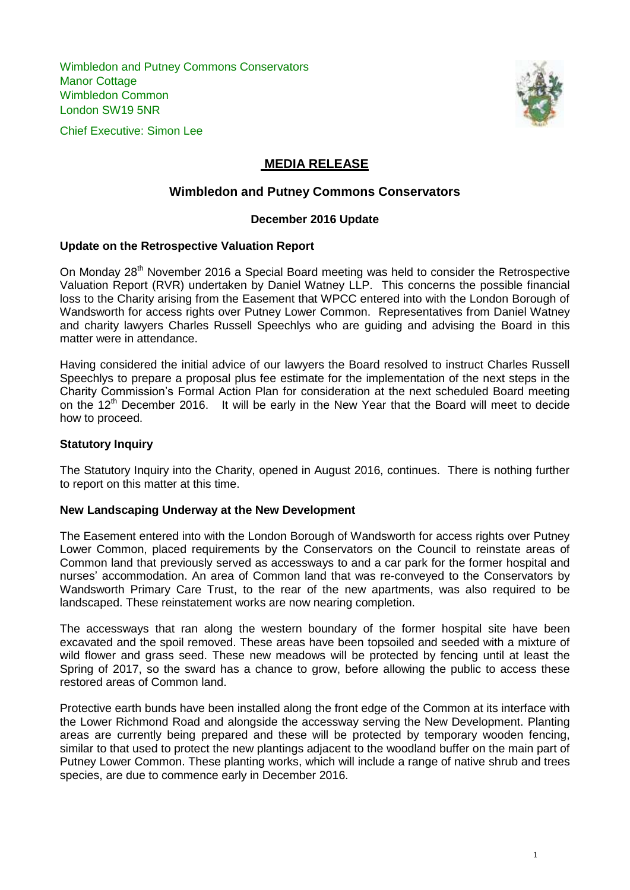Wimbledon and Putney Commons Conservators Manor Cottage Wimbledon Common London SW19 5NR





# **MEDIA RELEASE**

# **Wimbledon and Putney Commons Conservators**

# **December 2016 Update**

# **Update on the Retrospective Valuation Report**

On Monday 28<sup>th</sup> November 2016 a Special Board meeting was held to consider the Retrospective Valuation Report (RVR) undertaken by Daniel Watney LLP. This concerns the possible financial loss to the Charity arising from the Easement that WPCC entered into with the London Borough of Wandsworth for access rights over Putney Lower Common. Representatives from Daniel Watney and charity lawyers Charles Russell Speechlys who are guiding and advising the Board in this matter were in attendance.

Having considered the initial advice of our lawyers the Board resolved to instruct Charles Russell Speechlys to prepare a proposal plus fee estimate for the implementation of the next steps in the Charity Commission's Formal Action Plan for consideration at the next scheduled Board meeting on the 12<sup>th</sup> December 2016. It will be early in the New Year that the Board will meet to decide how to proceed.

### **Statutory Inquiry**

The Statutory Inquiry into the Charity, opened in August 2016, continues. There is nothing further to report on this matter at this time.

### **New Landscaping Underway at the New Development**

The Easement entered into with the London Borough of Wandsworth for access rights over Putney Lower Common, placed requirements by the Conservators on the Council to reinstate areas of Common land that previously served as accessways to and a car park for the former hospital and nurses' accommodation. An area of Common land that was re-conveyed to the Conservators by Wandsworth Primary Care Trust, to the rear of the new apartments, was also required to be landscaped. These reinstatement works are now nearing completion.

The accessways that ran along the western boundary of the former hospital site have been excavated and the spoil removed. These areas have been topsoiled and seeded with a mixture of wild flower and grass seed. These new meadows will be protected by fencing until at least the Spring of 2017, so the sward has a chance to grow, before allowing the public to access these restored areas of Common land.

Protective earth bunds have been installed along the front edge of the Common at its interface with the Lower Richmond Road and alongside the accessway serving the New Development. Planting areas are currently being prepared and these will be protected by temporary wooden fencing, similar to that used to protect the new plantings adjacent to the woodland buffer on the main part of Putney Lower Common. These planting works, which will include a range of native shrub and trees species, are due to commence early in December 2016.